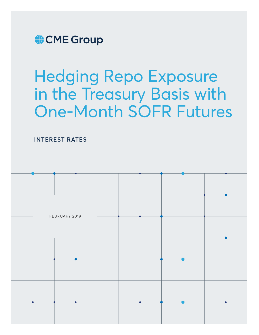

# Hedging Repo Exposure in the Treasury Basis with One-Month SOFR Futures

**INTEREST RATES**

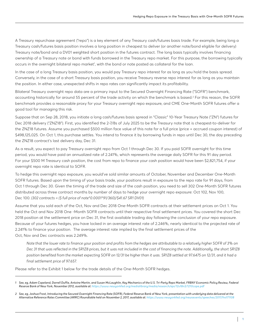A Treasury repurchase agreement ("repo") is a key element of any Treasury cash/futures basis trade. For example, being long a Treasury cash/futures basis position involves a long position in cheapest to deliver (or another note/bond eligible for delivery) Treasury note/bond and a DV01 weighted short position in the futures contract. The long basis typically involves financing ownership of a Treasury note or bond with funds borrowed in the Treasury repo market. For this purpose, the borrowing typically occurs in the overnight bilateral repo market<sup>1</sup>, with the bond or note posted as collateral for the loan.

In the case of a long Treasury basis position, you would pay Treasury repo interest for as long as you hold the basis spread. Conversely, in the case of a short Treasury basis position, you receive Treasury reverse repo interest for as long as you maintain the position. In either case, unexpected shifts in repo rates can significantly impact its profitability.

Bilateral Treasury overnight repo data are a primary input to the Secured Overnight Financing Rate ("SOFR") benchmark, accounting historically for around 55 percent of the trade activity on which the benchmark is based.<sup>2</sup> For this reason, the SOFR benchmark provides a reasonable proxy for your Treasury overnight repo exposure, and CME One-Month SOFR futures offer a good tool for managing this risk.

Suppose that on Sep 28, 2018, you initiate a long cash/futures basis spread in "Classic" 10-Year Treasury Note ("ZN") futures for Dec 2018 delivery ("ZNZ18"). First, you identified the 2-7/8s of July 2025 to be the Treasury note that is cheapest-to-deliver for the ZNZ18 futures. Assume you purchased \$500 million face value of this note for a full price (price + accrued coupon interest) of \$498,125,025. On Oct 1, this purchase settles. You intend to finance it by borrowing funds in repo until Dec 30, the day preceding the ZNZ18 contract's last delivery day, Dec 31.

As a result, you expect to pay Treasury overnight repo from Oct 1 through Dec 30. If you paid SOFR overnight for this time period, you would have paid an annualized rate of 2.241%, which represents the average daily SOFR for this 91 day period. For your \$500 M Treasury cash position, the cost from repo to finance your cash position would have been \$2,821,754, if your overnight repo rate is identical to SOFR.

To hedge this overnight repo exposure, you would've sold similar amounts of October, November and December One-Month SOFR futures. Based upon the timing of your basis trade, your positions result in exposure to the repo rate for 91 days, from Oct 1 through Dec 30. Given the timing of the trade and size of the cash position, you need to sell 302 One-Month SOFR futures distributed across three contract months by number of days to hedge your overnight repo exposure: Oct 102, Nov 100, Dec 100. *(302 contracts = (\$ full price of note\*0.0001\*91/360)/\$41.67 SR1 DV01)*

Assume that you sold each of the Oct, Nov and Dec 2018 One-Month SOFR contracts at their settlement prices on Oct 1. You held the Oct and Nov 2018 One -Month SOFR contracts until their respective final settlement prices. You covered the short Dec 2018 position at the settlement price on Dec 31, the first available trading day following the conclusion of your repo exposure. Because of your futures hedges, you have locked in an average interest rate of 2.246%, nearly identical to the projected rate of 2.241% to finance your position. The average interest rate implied by the final settlement prices of the Oct, Nov and Dec contracts was 2.249%.

 *Note that the lower rate to finance your position and profits from the hedges are attributable to a relatively higher SOFR of 3% on Dec 31 that was reflected in the SR1Z8 prices, but it was not included in the cost of financing the note. Additionally, the short SR1Z8 position benefited from the market expecting SOFR on 12/31 be higher than it was. SR1Z8 settled at 97.6475 on 12/31, and it had a final settlement price of 97.657.*

Please refer to the Exhibit 1 below for the trade details of the One-Month SOFR hedges.

*<sup>1</sup> See, eg, Adam Copeland, Darrell Duffie, Antoine Martin, and Susan McLaughlin, Key Mechanics of the U.S. Tri-Party Repo Market, FRBNY Economic Policy Review, Federal Reserve Bank of New York, November 2012, available at:<https://www.newyorkfed.org/medialibrary/media/research/epr/12v18n3/1210cope.pdf>*

*<sup>2</sup> See, eg, Joshua Frost, Introducing the Secured Overnight Financing Rate (SOFR), Federal Reserve Bank of New York, presentation with underlying data delivered at the Alternative Reference Rates Committee (ARRC) Roundtable held on November 2, 2017, available at: [https://www.newyorkfed.org/newsevents/speeches/2017/fro171108](https://www.newyorkfed.org/newsevents/speeches/2017/fro171108 )*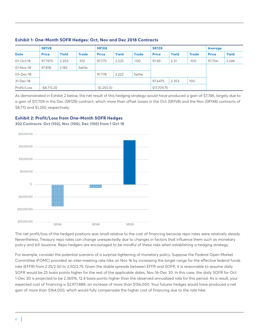|               | SR <sub>1</sub> V <sub>8</sub> |       |              | SR <sub>1</sub> X <sub>8</sub> |       |              | <b>SR1Z8</b> |       |              | Average      |       |
|---------------|--------------------------------|-------|--------------|--------------------------------|-------|--------------|--------------|-------|--------------|--------------|-------|
| <b>Date</b>   | <b>Price</b>                   | Yield | <b>Trade</b> | <b>Price</b>                   | Yield | <b>Trade</b> | <b>Price</b> | Yield | <b>Trade</b> | <b>Price</b> | Yield |
| $01 - Oct-18$ | 97.7975                        | 2.203 | $-102$       | 97.775                         | 2.225 | $-100$       | 97.69        | 2.31  | $-100$       | 97.754       | 2.246 |
| 01-Nov-18     | 97.818                         | 2.182 | Settle       |                                |       |              |              |       |              |              |       |
| 03-Dec-18     |                                |       |              | 97.778                         | 2.222 | Settle       |              |       |              |              |       |
| 31-Dec-18     |                                |       |              |                                |       |              | 97.6475      | 2.353 | 100          |              |       |
| Profit/Loss   | $-$ \$8,713.20                 |       |              | $-51,250.10$                   |       |              | \$17,709.75  |       |              |              |       |

### **Exhibit 1: One-Month SOFR Hedges: Oct, Nov and Dec 2018 Contracts**

As demonstrated in Exhibit 2 below, the net result of this hedging strategy would have produced a gain of \$7,746, largely due to a gain of \$17,709 in the Dec (SR1Z8) contract, which more than offset losses in the Oct (SR1V8) and the Nov (SR1X8) contracts of \$8,713 and \$1,250, respectively.

# **Exhibit 2: Profit/Loss from One-Month SOFR Hedges**

**302 Contracts: Oct (102), Nov (100), Dec (100) from 1 Oct 18**



The net profit/loss of the hedged positions was small relative to the cost of financing because repo rates were relatively steady. Nevertheless, Treasury repo rates can change unexpectedly due to changes in factors that influence them such as monetary policy and bill issuance. Repo hedgers are encouraged to be mindful of these risks when establishing a hedging strategy.

For example, consider the potential scenario of a surprise tightening of monetary policy. Suppose the Federal Open Market Committee (FOMC) provided an inter-meeting rate hike on Nov 16 by increasing the target range for the effective federal funds rate (EFFR) from 2.25/2.50 to 2.50/2.75. Given the stable spreads between EFFR and SOFR, it is reasonable to assume daily SOFR would be 25 basis points higher for the rest of the applicable dates, Nov 16-Dec 30. In this case, the daily SOFR for Oct 1-Dec 30 is projected to be 2.365%, 12.4 basis points higher than the observed annualized rate for this period. As a result, your expected cost of financing is \$2,977,888, an increase of more than \$156,000. Your futures hedges would have produced a net gain of more than \$164,000, which would fully compensate the higher cost of financing due to the rate hike.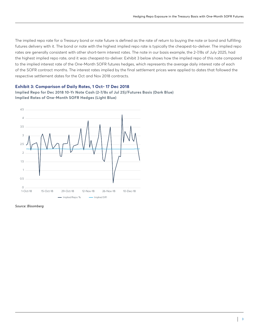The implied repo rate for a Treasury bond or note future is defined as the rate of return to buying the note or bond and fulfilling futures delivery with it. The bond or note with the highest implied repo rate is typically the cheapest-to-deliver. The implied repo rates are generally consistent with other short-term interest rates. The note in our basis example, the 2-7/8s of July 2025, had the highest implied repo rate, and it was cheapest-to-deliver. Exhibit 3 below shows how the implied repo of this note compared to the implied interest rate of the One-Month SOFR futures hedges, which represents the average daily interest rate of each of the SOFR contract months. The interest rates implied by the final settlement prices were applied to dates that followed the respective settlement dates for the Oct and Nov 2018 contracts.

#### **Exhibit 3: Comparison of Daily Rates, 1 Oct- 17 Dec 2018**

**Implied Repo for Dec 2018 10-Yr Note Cash (2-7/8s of Jul 25)/Futures Basis (Dark Blue) Implied Rates of One-Month SOFR Hedges (Light Blue)**



*Source: Bloomberg*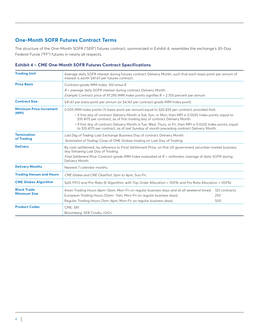# **One-Month SOFR Futures Contract Terms**

The structure of the One-Month SOFR ("SER") futures contract, summarized in Exhibit 4, resembles the exchange's 30-Day Federal Funds ("FF") futures in nearly all respects.

## **Exhibit 4 – CME One-Month SOFR Futures Contract Specifications**

| <b>Trading Unit</b>             | Average daily SOFR interest during futures contract Delivery Month, such that each basis point per annum of<br>interest is worth \$41.67 per futures contract.                                           |               |  |  |  |  |  |
|---------------------------------|----------------------------------------------------------------------------------------------------------------------------------------------------------------------------------------------------------|---------------|--|--|--|--|--|
| <b>Price Basis</b>              | Contract-grade IMM Index: 100 minus R.                                                                                                                                                                   |               |  |  |  |  |  |
|                                 | $R$ = average daily SOFR interest during contract Delivery Month.                                                                                                                                        |               |  |  |  |  |  |
|                                 | <i>Example:</i> Contract price of 97.295 IMM Index points signifies $R = 2.705$ percent per annum.                                                                                                       |               |  |  |  |  |  |
| <b>Contract Size</b>            | \$41.67 per basis point per annum (or \$4,167 per contract-grade IMM Index point)                                                                                                                        |               |  |  |  |  |  |
| <b>Minimum Price Increment</b>  | 0.005 IMM Index points (1/2 basis point per annum) equal to \$20.835 per contract, provided that:                                                                                                        |               |  |  |  |  |  |
| (MPI)                           | . If first day of contract Delivery Month is Sat, Sun, or Mon, then MPI is 0.0025 Index points, equal to<br>\$10.4175 per contract, as of first trading day of contract Delivery Month.                  |               |  |  |  |  |  |
|                                 | . If first day of contract Delivery Month is Tue, Wed, Thurs, or Fri, then MPI is 0.0025 Index points, equal<br>to \$10.4175 per contract, as of last Sunday of month preceding contract Delivery Month. |               |  |  |  |  |  |
| <b>Termination</b>              | Last Day of Trading: Last Exchange Business Day of contract Delivery Month.                                                                                                                              |               |  |  |  |  |  |
| of Trading                      | Termination of Trading: Close of CME Globex trading on Last Day of Trading.                                                                                                                              |               |  |  |  |  |  |
| <b>Delivery</b>                 | By cash settlement, by reference to Final Settlement Price, on first US government securities market business<br>day following Last Day of Trading.                                                      |               |  |  |  |  |  |
|                                 | Final Settlement Price: Contract-grade IMM Index evaluated at R = arithmetic average of daily SOFR during<br>Delivery Month.                                                                             |               |  |  |  |  |  |
| <b>Delivery Months</b>          | Nearest 7 calendar months.                                                                                                                                                                               |               |  |  |  |  |  |
| <b>Trading Venues and Hours</b> | CME Globex and CME ClearPort: 5pm to 4pm, Sun-Fri.                                                                                                                                                       |               |  |  |  |  |  |
| <b>CME Globex Algorithm</b>     | Split FIFO and Pro-Rata (K Algorithm, with Top Order Allocation = 100% and Pro Rata Allocation = 100%)                                                                                                   |               |  |  |  |  |  |
| <b>Block Trade</b>              | Asian Trading Hours (4pm-12am, Mon-Fri on regular business days and at all weekend times)                                                                                                                | 125 contracts |  |  |  |  |  |
| <b>Minimum Size</b>             | European Trading Hours (12am - 7am, Mon-Fri on regular business days)                                                                                                                                    | 250           |  |  |  |  |  |
|                                 | Regular Trading Hours (7am-4pm, Mon-Fri on regular business days)                                                                                                                                        | 500           |  |  |  |  |  |
| <b>Product Codes</b>            | CME: SR1                                                                                                                                                                                                 |               |  |  |  |  |  |
|                                 | Bloomberg: SER Cmdty <go></go>                                                                                                                                                                           |               |  |  |  |  |  |